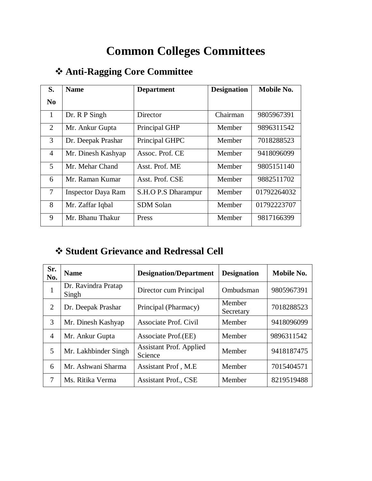## **Common Colleges Committees**

| S.             | <b>Name</b>               | <b>Department</b>   | <b>Designation</b> | Mobile No.  |
|----------------|---------------------------|---------------------|--------------------|-------------|
| No             |                           |                     |                    |             |
| 1              | Dr. R P Singh             | Director            | Chairman           | 9805967391  |
| 2              | Mr. Ankur Gupta           | Principal GHP       | Member             | 9896311542  |
| 3              | Dr. Deepak Prashar        | Principal GHPC      | Member             | 7018288523  |
| $\overline{4}$ | Mr. Dinesh Kashyap        | Assoc. Prof. CE     | Member             | 9418096099  |
| $\overline{5}$ | Mr. Mehar Chand           | Asst. Prof. ME      | Member             | 9805151140  |
| 6              | Mr. Raman Kumar           | Asst. Prof. CSE     | Member             | 9882511702  |
| $\overline{7}$ | <b>Inspector Daya Ram</b> | S.H.O P.S Dharampur | Member             | 01792264032 |
| 8              | Mr. Zaffar Iqbal          | <b>SDM</b> Solan    | Member             | 01792223707 |
| 9              | Mr. Bhanu Thakur          | Press               | Member             | 9817166399  |

## **Anti-Ragging Core Committee**

## **Student Grievance and Redressal Cell**

| Sr.<br>No.     | <b>Name</b>                  | <b>Designation/Department</b>             | <b>Designation</b>  | Mobile No. |
|----------------|------------------------------|-------------------------------------------|---------------------|------------|
| $\mathbf{1}$   | Dr. Ravindra Pratap<br>Singh | Director cum Principal                    | Ombudsman           | 9805967391 |
| 2              | Dr. Deepak Prashar           | Principal (Pharmacy)                      | Member<br>Secretary | 7018288523 |
| 3              | Mr. Dinesh Kashyap           | Associate Prof. Civil                     | Member              | 9418096099 |
| $\overline{4}$ | Mr. Ankur Gupta              | Associate Prof.(EE)                       | Member              | 9896311542 |
| 5              | Mr. Lakhbinder Singh         | <b>Assistant Prof. Applied</b><br>Science | Member              | 9418187475 |
| 6              | Mr. Ashwani Sharma           | Assistant Prof, M.E.                      | Member              | 7015404571 |
| 7              | Ms. Ritika Verma             | <b>Assistant Prof., CSE</b>               | Member              | 8219519488 |